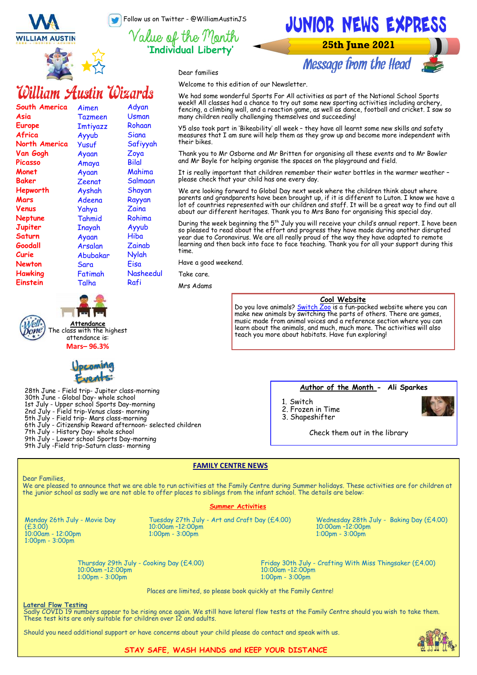Follow us on Twitter - @WilliamAustinJS

**'Individual Liberty'**



**Message from the Head** 

Dear families

Welcome to this edition of our Newsletter.

# William Austin Wizards

**WILLIAM AUSTIN** 

| South America  | Aimen          | Adyan     |
|----------------|----------------|-----------|
| Asia           | <b>Tazmeen</b> | Usman     |
| Europe         | Imtiyazz       | Rohaan    |
| Africa         | Ayyub          | Siana     |
| North America  | Yusuf          | Safiyyah  |
| Van Gogh       | Ayaan          | Zoya      |
| Picasso        | Amaya          | Bilal     |
| Monet          | Ayaan          | Mahima    |
| <b>Baker</b>   | Zeenat         | Salmaan   |
| Hepworth       | Ayshah         | Shayan    |
| Mars           | Adeena         | Rayyan    |
| Venus          | Yahya          | Zaina     |
| Neptune        | Tahmid         | Rohima    |
| Jupiter        | Inayah         | Ayyub     |
| Saturn         | Ayaan          | Hiba      |
| Goodall        | Arsalan        | Zainab    |
| Curie          | Abubakar       | Nylah     |
| Newton         | Sara           | Eisa      |
| <b>Hawking</b> | Fatimah        | Nasheedul |
| Einstein       | Talha          | Rafi      |
|                |                |           |

We had some wonderful Sports For All activities as part of the National School Sports week!! All classes had a chance to try out some new sporting activities including archery, fencing, a climbing wall, and a reaction game, as well as dance, football and cricket. I saw so many children really challenging themselves and succeeding!

Y5 also took part in 'Bikeability' all week – they have all learnt some new skills and safety measures that I am sure will help them as they grow up and become more independent with their bikes.

Thank you to Mr Osborne and Mr Britten for organising all these events and to Mr Bowler and Mr Boyle for helping organise the spaces on the playground and field.

It is really important that children remember their water bottles in the warmer weather – please check that your child has one every day.

We are looking forward to Global Day next week where the children think about where parents and grandparents have been brought up, if it is different to Luton. I know we have a lot of countries represented with our children and staff. It will be a great way to find out all about our different heritages. Thank you to Mrs Bano for organising this special day.

During the week beginning the 5<sup>th</sup> July you will receive your child's annual report. I have been so pleased to read about the effort and progress they have made during another disrupted year due to Coronavirus. We are all really proud of the way they have adapted to remote learning and then back into face to face teaching. Thank you for all your support during this time.

Have a good weekend.

Take care.

Mrs Adams

### **Cool Website**

Do you love animals? [Switch Zoo](https://www.switchzoo.com/) is a fun-packed website where you can make new animals by switching the parts of others. There are games, music made from animal voices and a reference section where you can learn about the animals, and much, much more. The activities will also teach you more about habitats. Have fun exploring!



**Attendance** The class with the highest attendance is:

28th June - Field trip- Jupiter class-morning 30th June - Global Day- whole school 1st July - Upper school Sports Day-morning 2nd July - Field trip-Venus class- morning 5th July - Field trip- Mars class-morning 6th July - Citizenship Reward afternoon- selected children 7th July - History Day- whole school 9th July - Lower school Sports Day-morning 9th July -Field trip-Saturn class- morning

**Author of the Month - Ali Sparkes**

1. Switch 2. Frozen in Time 3. Shapeshifter



Check them out in the library

#### **FAMILY CENTRE NEWS**

Dear Families,

We are pleased to announce that we are able to run activities at the Family Centre during Summer holidays. These activities are for children at the junior school as sadly we are not able to offer places to siblings from the infant school. The details are below:

#### **Summer Activities**

Monday 26th July - Movie Day (£3.00) 10:00am - 12:00pm 1:00pm - 3:00pm

Tuesday 27th July - Art and Craft Day (£4.00) 10:00am –12:00pm 1:00pm - 3:00pm

Wednesday 28th July - Baking Day (£4.00) 10:00am –12:00pm 1:00pm - 3:00pm

Thursday 29th July - Cooking Day (£4.00) 10:00am –12:00pm 1:00pm - 3:00pm

Friday 30th July - Crafting With Miss Thingsaker (£4.00) 10:00am –12:00pm 1:00pm - 3:00pm

Places are limited, so please book quickly at the Family Centre!

#### **Lateral Flow Testing**

Sadly COVID 19 numbers appear to be rising once again. We still have lateral flow tests at the Family Centre should you wish to take them. These test kits are only suitable for children over 12 and adults.

Should you need additional support or have concerns about your child please do contact and speak with us.



#### **STAY SAFE, WASH HANDS and KEEP YOUR DISTANCE**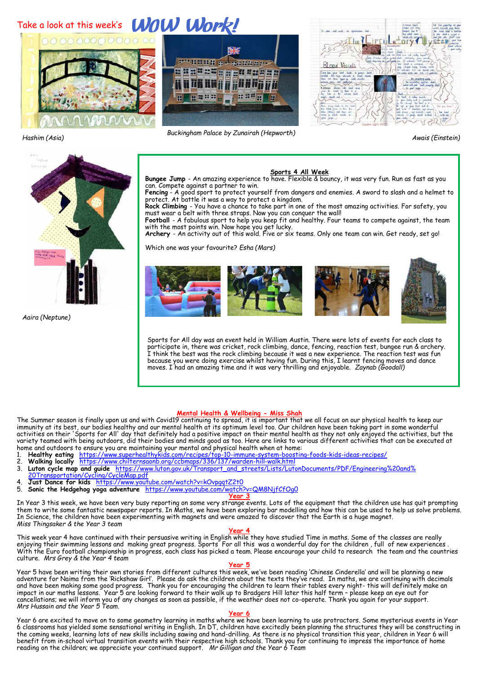## Take a look at this week's **WOW Work!**





Blood Vessels  $\overline{\text{last}}$  ,  $\overline{\text{last}}$  ,

*Hashim (Asia) Awais (Einstein) Buckingham Palace by Zunairah (Hepworth)*



*Aaira (Neptune)*

**Sports 4 All Week (Sports 1 All Week)**<br>Bungee Jump - An amazing experience to have. Flexible & bouncy, it was very fun. Run as fast as you can. Compete against a partner to win. **Fencing** - A good sport to protect yourself from dangers and enemies. A sword to slash and a helmet to

protect. At battle it was a way to protect a kingdom. **Rock Climbing** - You have a chance to take part in one of the most amazing activities. For safety, you

must wear a belt with three straps. Now you can conquer the wall!

**Football** - A fabulous sport to help you keep fit and healthy. Four teams to compete against, the team with the most points win. Now hope you get lucky.

**Archery** - An activity out of this wold. Five or six teams. Only one team can win. Get ready, set go!

Which one was your favourite? *Esha (Mars)*









Sports for All day was an event held in William Austin. There were lots of events for each class to participate in, there was cricket, rock climbing, dance, fencing, reaction test, bungee run & archery. I think the best was the rock climbing because it was a new experience. The reaction test was fun because you were doing exercise whilst having fun. During this, I learnt fencing moves and dance moves. I had an amazing time and it was very thrilling and enjoyable. *Zaynab (Goodall)*

#### **Mental Health & Wellbeing - Miss Shah**

The Summer season is finally upon us and with Covid19 continuing to spread, it is important that we all focus on our physical health to keep our immunity at its best, our bodies healthy and our mental health at its optimum level too. Our children have been taking part in some wonderful activities on their 'Sports for All' day that definitely had a positive impact on their mental health as they not only enjoyed the activities, but the variety teamed with being outdoors, did their bodies and minds good as too. Here are links to various different activities that can be executed at

- home and outdoors to ensure you are maintaining your mental and physical health when at home: 1. **Healthy eating** [https://www.superhealthykids.com/recipes/top](https://www.superhealthykids.com/recipes/top-10-immune-system-boosting-foods-kids-ideas-recipes/)-10-immune-system-boosting-foods-kids-ideas-recipes/
- 2. **Walking locally** [https://www.chilternsaonb.org/ccbmaps/336/137/warden](https://www.chilternsaonb.org/ccbmaps/336/137/warden-hill-walk.html)-hill-walk.html
- 3. **Luton cycle map and guide** [https://www.luton.gov.uk/Transport\\_and\\_streets/Lists/LutonDocuments/PDF/Engineering%20and%](https://www.luton.gov.uk/Transport_and_streets/Lists/LutonDocuments/PDF/Engineering%20and%20Transportation/Cycling/CycleMap.pdf) [20Transportation/Cycling/CycleMap.pdf](https://www.luton.gov.uk/Transport_and_streets/Lists/LutonDocuments/PDF/Engineering%20and%20Transportation/Cycling/CycleMap.pdf)
- 4. **Just Dance for kids** <https://www.youtube.com/watch?v=kOvpgqtZ2t0>
- 5. **Sonic the Hedgehog yoga adventure** <https://www.youtube.com/watch?v=QM8NjfCfOg0>

#### **Year 3**

In Year 3 this week, we have been very busy reporting on some very strange events. Lots of the equipment that the children use has quit prompting them to write some fantastic newspaper reports. In Maths, we have been exploring bar modelling and how this can be used to help us solve problems. In Science, the children have been experimenting with magnets and were amazed to discover that the Earth is a huge magnet. *Miss Thingsaker & the Year 3 team*

#### **Year 4**

This week year 4 have continued with their persuasive writing in English while they have studied Time in maths. Some of the classes are really enjoying their swimming lessons and making great progress. Sports For all this was a wonderful day for the children , full of new experiences . With the Euro football championship in progress, each class has picked a team. Please encourage your child to research the team and the countries culture. *Mrs Grey & the Year 4 team*

#### **Year 5**

Year 5 have been writing their own stories from different cultures this week, we've been reading 'Chinese Cinderella' and will be planning a new adventure for Naima from the 'Rickshaw Girl'. Please do ask the children about the texts they've read. In maths, we are continuing with decimals and have been making some good progress. Thank you for encouraging the children to learn their tables every night- this will definitely make an impact in our maths lessons. Year 5 are looking forward to their walk up to Bradgers Hill later this half term - please keep an eye out for<br>cancellations; we will inform you of any changes as soon as possible, if the weath *Mrs Hussain and the Year 5 Team.*

#### **Year 6**

Year 6 are excited to move on to some geometry learning in maths where we have been learning to use protractors. Some mysterious events in Year 6 classrooms has yielded some sensational writing in English. In DT, children have excitedly been planning the structures they will be constructing in the coming weeks, learning lots of new skills including sawing and hand-drilling. As there is no physical transition this year, children in Year 6 will benefit from in-school virtual transition events with their respective high schools. Thank you for continuing to impress the importance of home reading on the children; we appreciate your continued support. *Mr Gilligan and the Year 6 Team*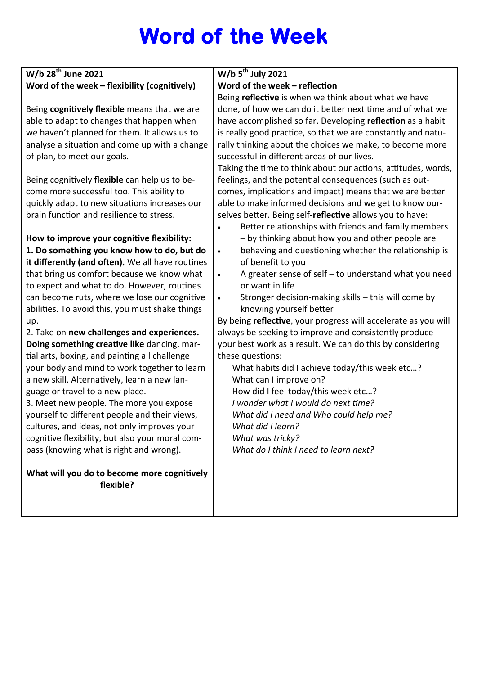# **Word of the Week**

### **W/b 28th June 2021 Word of the week – flexibility (cognitively)**

Being **cognitively flexible** means that we are able to adapt to changes that happen when we haven't planned for them. It allows us to analyse a situation and come up with a change of plan, to meet our goals.

Being cognitively **flexible** can help us to become more successful too. This ability to quickly adapt to new situations increases our brain function and resilience to stress.

**How to improve your cognitive flexibility: 1. Do something you know how to do, but do it differently (and often).** We all have routines that bring us comfort because we know what to expect and what to do. However, routines can become ruts, where we lose our cognitive abilities. To avoid this, you must shake things up.

2. Take on **new challenges and experiences. Doing something creative like** dancing, martial arts, boxing, and painting all challenge your body and mind to work together to learn a new skill. Alternatively, learn a new language or travel to a new place.

3. Meet new people. The more you expose yourself to different people and their views, cultures, and ideas, not only improves your cognitive flexibility, but also your moral compass (knowing what is right and wrong).

**What will you do to become more cognitively flexible?**

## **W/b 5th July 2021**

### **Word of the week – reflection**

Being **reflective** is when we think about what we have done, of how we can do it better next time and of what we have accomplished so far. Developing **reflection** as a habit is really good practice, so that we are constantly and naturally thinking about the choices we make, to become more successful in different areas of our lives.

Taking the time to think about our actions, attitudes, words, feelings, and the potential consequences (such as outcomes, implications and impact) means that we are better able to make informed decisions and we get to know ourselves better. Being self-**reflective** allows you to have:

- Better relationships with friends and family members – by thinking about how you and other people are
- behaving and questioning whether the relationship is of benefit to you
	- A greater sense of self  $-$  to understand what you need or want in life
- Stronger decision-making skills this will come by knowing yourself better

By being **reflective**, your progress will accelerate as you will always be seeking to improve and consistently produce your best work as a result. We can do this by considering these questions:

What habits did I achieve today/this week etc…? What can I improve on? How did I feel today/this week etc…? *I wonder what I would do next time? What did I need and Who could help me? What did I learn? What was tricky? What do I think I need to learn next?*